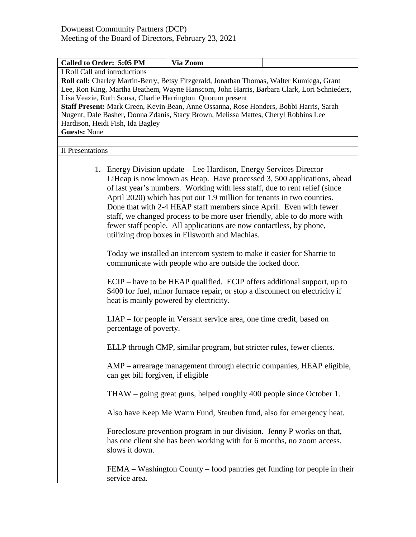| <b>Called to Order: 5:05 PM</b>                                                                                                                                                                                                                                                                                                                                                                                                                                                                  | Via Zoom                                                                                                                                                                                                                                                                                                                                                                                                                                                                                                                                                                        |  |  |  |
|--------------------------------------------------------------------------------------------------------------------------------------------------------------------------------------------------------------------------------------------------------------------------------------------------------------------------------------------------------------------------------------------------------------------------------------------------------------------------------------------------|---------------------------------------------------------------------------------------------------------------------------------------------------------------------------------------------------------------------------------------------------------------------------------------------------------------------------------------------------------------------------------------------------------------------------------------------------------------------------------------------------------------------------------------------------------------------------------|--|--|--|
| I Roll Call and introductions                                                                                                                                                                                                                                                                                                                                                                                                                                                                    |                                                                                                                                                                                                                                                                                                                                                                                                                                                                                                                                                                                 |  |  |  |
| Roll call: Charley Martin-Berry, Betsy Fitzgerald, Jonathan Thomas, Walter Kumiega, Grant<br>Lee, Ron King, Martha Beathem, Wayne Hanscom, John Harris, Barbara Clark, Lori Schnieders,<br>Lisa Veazie, Ruth Sousa, Charlie Harrington Quorum present<br>Staff Present: Mark Green, Kevin Bean, Anne Ossanna, Rose Honders, Bobbi Harris, Sarah<br>Nugent, Dale Basher, Donna Zdanis, Stacy Brown, Melissa Mattes, Cheryl Robbins Lee<br>Hardison, Heidi Fish, Ida Bagley<br><b>Guests: None</b> |                                                                                                                                                                                                                                                                                                                                                                                                                                                                                                                                                                                 |  |  |  |
|                                                                                                                                                                                                                                                                                                                                                                                                                                                                                                  |                                                                                                                                                                                                                                                                                                                                                                                                                                                                                                                                                                                 |  |  |  |
| <b>II</b> Presentations                                                                                                                                                                                                                                                                                                                                                                                                                                                                          |                                                                                                                                                                                                                                                                                                                                                                                                                                                                                                                                                                                 |  |  |  |
|                                                                                                                                                                                                                                                                                                                                                                                                                                                                                                  | 1. Energy Division update - Lee Hardison, Energy Services Director<br>LiHeap is now known as Heap. Have processed 3, 500 applications, ahead<br>of last year's numbers. Working with less staff, due to rent relief (since<br>April 2020) which has put out 1.9 million for tenants in two counties.<br>Done that with 2-4 HEAP staff members since April. Even with fewer<br>staff, we changed process to be more user friendly, able to do more with<br>fewer staff people. All applications are now contactless, by phone,<br>utilizing drop boxes in Ellsworth and Machias. |  |  |  |
|                                                                                                                                                                                                                                                                                                                                                                                                                                                                                                  | Today we installed an intercom system to make it easier for Sharrie to<br>communicate with people who are outside the locked door.                                                                                                                                                                                                                                                                                                                                                                                                                                              |  |  |  |
|                                                                                                                                                                                                                                                                                                                                                                                                                                                                                                  | ECIP – have to be HEAP qualified. ECIP offers additional support, up to<br>\$400 for fuel, minor furnace repair, or stop a disconnect on electricity if<br>heat is mainly powered by electricity.                                                                                                                                                                                                                                                                                                                                                                               |  |  |  |
| percentage of poverty.                                                                                                                                                                                                                                                                                                                                                                                                                                                                           | LIAP – for people in Versant service area, one time credit, based on                                                                                                                                                                                                                                                                                                                                                                                                                                                                                                            |  |  |  |
|                                                                                                                                                                                                                                                                                                                                                                                                                                                                                                  | ELLP through CMP, similar program, but stricter rules, fewer clients.                                                                                                                                                                                                                                                                                                                                                                                                                                                                                                           |  |  |  |
| can get bill forgiven, if eligible                                                                                                                                                                                                                                                                                                                                                                                                                                                               | AMP – arrearage management through electric companies, HEAP eligible,                                                                                                                                                                                                                                                                                                                                                                                                                                                                                                           |  |  |  |
|                                                                                                                                                                                                                                                                                                                                                                                                                                                                                                  | THAW - going great guns, helped roughly 400 people since October 1.                                                                                                                                                                                                                                                                                                                                                                                                                                                                                                             |  |  |  |
|                                                                                                                                                                                                                                                                                                                                                                                                                                                                                                  | Also have Keep Me Warm Fund, Steuben fund, also for emergency heat.                                                                                                                                                                                                                                                                                                                                                                                                                                                                                                             |  |  |  |
| slows it down.                                                                                                                                                                                                                                                                                                                                                                                                                                                                                   | Foreclosure prevention program in our division. Jenny P works on that,<br>has one client she has been working with for 6 months, no zoom access,                                                                                                                                                                                                                                                                                                                                                                                                                                |  |  |  |
| service area.                                                                                                                                                                                                                                                                                                                                                                                                                                                                                    | FEMA – Washington County – food pantries get funding for people in their                                                                                                                                                                                                                                                                                                                                                                                                                                                                                                        |  |  |  |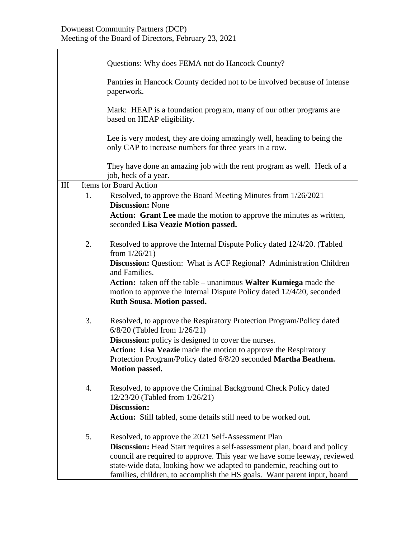|     |    | Questions: Why does FEMA not do Hancock County?                                                                                                                                                                                                                                                                                                                       |
|-----|----|-----------------------------------------------------------------------------------------------------------------------------------------------------------------------------------------------------------------------------------------------------------------------------------------------------------------------------------------------------------------------|
|     |    | Pantries in Hancock County decided not to be involved because of intense<br>paperwork.                                                                                                                                                                                                                                                                                |
|     |    | Mark: HEAP is a foundation program, many of our other programs are<br>based on HEAP eligibility.                                                                                                                                                                                                                                                                      |
|     |    | Lee is very modest, they are doing amazingly well, heading to being the<br>only CAP to increase numbers for three years in a row.                                                                                                                                                                                                                                     |
|     |    | They have done an amazing job with the rent program as well. Heck of a<br>job, heck of a year.                                                                                                                                                                                                                                                                        |
| III |    | Items for Board Action                                                                                                                                                                                                                                                                                                                                                |
|     | 1. | Resolved, to approve the Board Meeting Minutes from 1/26/2021<br><b>Discussion: None</b>                                                                                                                                                                                                                                                                              |
|     |    | Action: Grant Lee made the motion to approve the minutes as written,<br>seconded Lisa Veazie Motion passed.                                                                                                                                                                                                                                                           |
|     | 2. | Resolved to approve the Internal Dispute Policy dated 12/4/20. (Tabled<br>from $1/26/21$ )<br><b>Discussion:</b> Question: What is ACF Regional? Administration Children                                                                                                                                                                                              |
|     |    | and Families.<br>Action: taken off the table – unanimous Walter Kumiega made the<br>motion to approve the Internal Dispute Policy dated 12/4/20, seconded<br><b>Ruth Sousa. Motion passed.</b>                                                                                                                                                                        |
|     | 3. | Resolved, to approve the Respiratory Protection Program/Policy dated<br>6/8/20 (Tabled from 1/26/21)<br><b>Discussion:</b> policy is designed to cover the nurses.                                                                                                                                                                                                    |
|     |    | <b>Action:</b> Lisa Veazie made the motion to approve the Respiratory<br>Protection Program/Policy dated 6/8/20 seconded Martha Beathem.<br><b>Motion passed.</b>                                                                                                                                                                                                     |
|     | 4. | Resolved, to approve the Criminal Background Check Policy dated<br>12/23/20 (Tabled from 1/26/21)<br><b>Discussion:</b>                                                                                                                                                                                                                                               |
|     |    | Action: Still tabled, some details still need to be worked out.                                                                                                                                                                                                                                                                                                       |
|     | 5. | Resolved, to approve the 2021 Self-Assessment Plan<br><b>Discussion:</b> Head Start requires a self-assessment plan, board and policy<br>council are required to approve. This year we have some leeway, reviewed<br>state-wide data, looking how we adapted to pandemic, reaching out to<br>families, children, to accomplish the HS goals. Want parent input, board |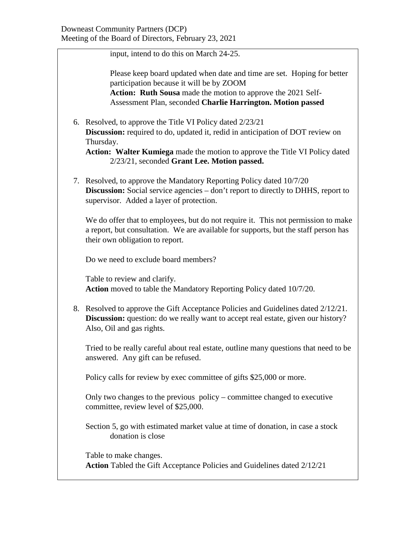input, intend to do this on March 24-25.

Please keep board updated when date and time are set. Hoping for better participation because it will be by ZOOM

**Action: Ruth Sousa** made the motion to approve the 2021 Self-Assessment Plan, seconded **Charlie Harrington. Motion passed**

6. Resolved, to approve the Title VI Policy dated 2/23/21 **Discussion:** required to do, updated it, redid in anticipation of DOT review on Thursday.

**Action: Walter Kumiega** made the motion to approve the Title VI Policy dated 2/23/21, seconded **Grant Lee. Motion passed.**

7. Resolved, to approve the Mandatory Reporting Policy dated 10/7/20 **Discussion:** Social service agencies – don't report to directly to DHHS, report to supervisor. Added a layer of protection.

We do offer that to employees, but do not require it. This not permission to make a report, but consultation. We are available for supports, but the staff person has their own obligation to report.

Do we need to exclude board members?

Table to review and clarify. **Action** moved to table the Mandatory Reporting Policy dated 10/7/20.

8. Resolved to approve the Gift Acceptance Policies and Guidelines dated 2/12/21. **Discussion:** question: do we really want to accept real estate, given our history? Also, Oil and gas rights.

Tried to be really careful about real estate, outline many questions that need to be answered. Any gift can be refused.

Policy calls for review by exec committee of gifts \$25,000 or more.

Only two changes to the previous policy – committee changed to executive committee, review level of \$25,000.

Section 5, go with estimated market value at time of donation, in case a stock donation is close

Table to make changes. **Action** Tabled the Gift Acceptance Policies and Guidelines dated 2/12/21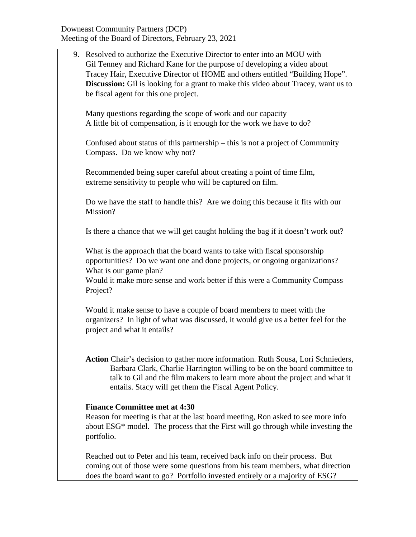| 9. Resolved to authorize the Executive Director to enter into an MOU with<br>Gil Tenney and Richard Kane for the purpose of developing a video about<br>Tracey Hair, Executive Director of HOME and others entitled "Building Hope".<br><b>Discussion:</b> Gil is looking for a grant to make this video about Tracey, want us to<br>be fiscal agent for this one project. |
|----------------------------------------------------------------------------------------------------------------------------------------------------------------------------------------------------------------------------------------------------------------------------------------------------------------------------------------------------------------------------|
| Many questions regarding the scope of work and our capacity<br>A little bit of compensation, is it enough for the work we have to do?                                                                                                                                                                                                                                      |
| Confused about status of this partnership – this is not a project of Community<br>Compass. Do we know why not?                                                                                                                                                                                                                                                             |
| Recommended being super careful about creating a point of time film,<br>extreme sensitivity to people who will be captured on film.                                                                                                                                                                                                                                        |
| Do we have the staff to handle this? Are we doing this because it fits with our<br>Mission?                                                                                                                                                                                                                                                                                |
| Is there a chance that we will get caught holding the bag if it doesn't work out?                                                                                                                                                                                                                                                                                          |
| What is the approach that the board wants to take with fiscal sponsorship<br>opportunities? Do we want one and done projects, or ongoing organizations?<br>What is our game plan?<br>Would it make more sense and work better if this were a Community Compass<br>Project?                                                                                                 |
| Would it make sense to have a couple of board members to meet with the<br>organizers? In light of what was discussed, it would give us a better feel for the<br>project and what it entails?                                                                                                                                                                               |
| Action Chair's decision to gather more information. Ruth Sousa, Lori Schnieders,<br>Barbara Clark, Charlie Harrington willing to be on the board committee to<br>talk to Gil and the film makers to learn more about the project and what it<br>entails. Stacy will get them the Fiscal Agent Policy.                                                                      |
| <b>Finance Committee met at 4:30</b><br>Reason for meeting is that at the last board meeting, Ron asked to see more info<br>about ESG <sup>*</sup> model. The process that the First will go through while investing the<br>portfolio.                                                                                                                                     |
| Reached out to Peter and his team, received back info on their process. But<br>coming out of those were some questions from his team members, what direction                                                                                                                                                                                                               |

does the board want to go? Portfolio invested entirely or a majority of ESG?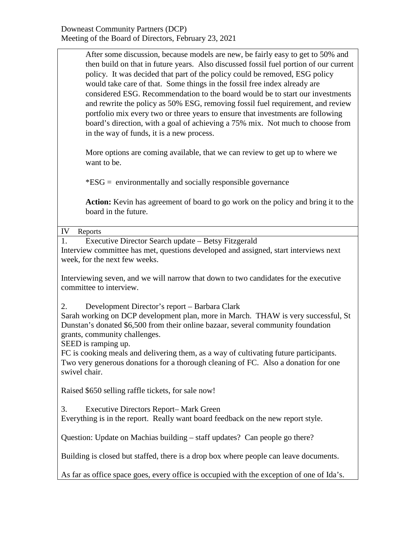After some discussion, because models are new, be fairly easy to get to 50% and then build on that in future years. Also discussed fossil fuel portion of our current policy. It was decided that part of the policy could be removed, ESG policy would take care of that. Some things in the fossil free index already are considered ESG. Recommendation to the board would be to start our investments and rewrite the policy as 50% ESG, removing fossil fuel requirement, and review portfolio mix every two or three years to ensure that investments are following board's direction, with a goal of achieving a 75% mix. Not much to choose from in the way of funds, it is a new process.

More options are coming available, that we can review to get up to where we want to be.

\*ESG = environmentally and socially responsible governance

**Action:** Kevin has agreement of board to go work on the policy and bring it to the board in the future.

IV Reports

1. Executive Director Search update – Betsy Fitzgerald Interview committee has met, questions developed and assigned, start interviews next week, for the next few weeks.

Interviewing seven, and we will narrow that down to two candidates for the executive committee to interview.

2. Development Director's report – Barbara Clark

Sarah working on DCP development plan, more in March. THAW is very successful, St Dunstan's donated \$6,500 from their online bazaar, several community foundation grants, community challenges.

SEED is ramping up.

FC is cooking meals and delivering them, as a way of cultivating future participants. Two very generous donations for a thorough cleaning of FC. Also a donation for one swivel chair.

Raised \$650 selling raffle tickets, for sale now!

3. Executive Directors Report– Mark Green

Everything is in the report. Really want board feedback on the new report style.

Question: Update on Machias building – staff updates? Can people go there?

Building is closed but staffed, there is a drop box where people can leave documents.

As far as office space goes, every office is occupied with the exception of one of Ida's.